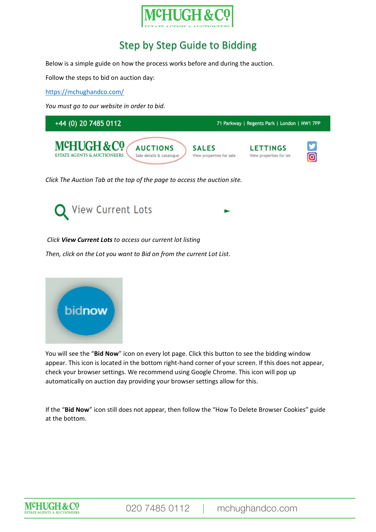# Step by Step Guide to Bidding

Below is a simple guide on how the process works before and during the auction.

Follow the steps to bid on auction day:

<https://mchughandco.com/>

*You must go to our website in order to bid.*



*Click The Auction Tab at the top of the page to access the auction site.*



*Click View Current Lots to access our current lot listing*

*Then, click on the Lot you want to Bid on from the current Lot List.*



You will see the "**Bid Now**" icon on every lot page. Click this button to see the bidding window appear. This icon is located in the bottom right-hand corner of your screen. If this does not appear, check your browser settings. We recommend using Google Chrome. This icon will pop up automatically on auction day providing your browser settings allow for this.

If the "**Bid Now**" icon still does not appear, then follow the "How To Delete Browser Cookies" guide at the bottom.

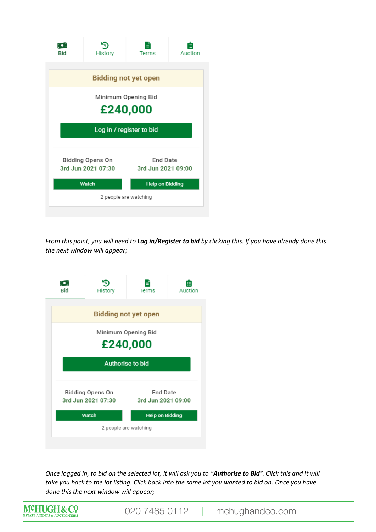| [⊜]<br><b>Bid</b>                             | History | ≡<br>Terms                            | Auction |  |
|-----------------------------------------------|---------|---------------------------------------|---------|--|
| <b>Bidding not yet open</b>                   |         |                                       |         |  |
| Minimum Opening Bid<br>£240,000               |         |                                       |         |  |
| Log in / register to bid                      |         |                                       |         |  |
| <b>Bidding Opens On</b><br>3rd Jun 2021 07:30 |         | <b>End Date</b><br>3rd Jun 2021 09:00 |         |  |
| Watch                                         |         | <b>Help on Bidding</b>                |         |  |
| 2 people are watching                         |         |                                       |         |  |
|                                               |         |                                       |         |  |

*From this point, you will need to Log in/Register to bid by clicking this. If you have already done this the next window will appear;*



*Once logged in, to bid on the selected lot, it will ask you to "Authorise to Bid". Click this and it will take you back to the lot listing. Click back into the same lot you wanted to bid on. Once you have done this the next window will appear;*



020 7485 0112 | mchughandco.com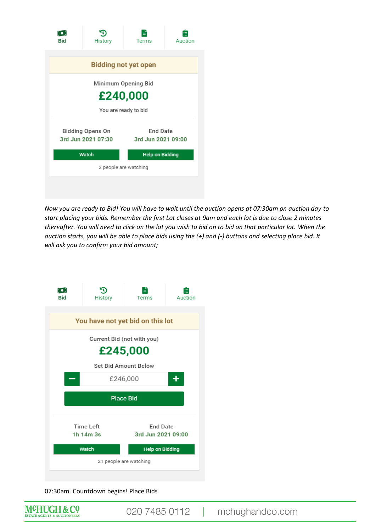| M.<br><b>Bid</b>                       | History | ₹<br>Terms                            | Auction                |  |  |
|----------------------------------------|---------|---------------------------------------|------------------------|--|--|
| <b>Bidding not yet open</b>            |         |                                       |                        |  |  |
| Minimum Opening Bid                    |         |                                       |                        |  |  |
| £240,000                               |         |                                       |                        |  |  |
| You are ready to bid                   |         |                                       |                        |  |  |
| Bidding Opens On<br>3rd Jun 2021 07:30 |         | <b>End Date</b><br>3rd Jun 2021 09:00 |                        |  |  |
|                                        | Watch   |                                       | <b>Help on Bidding</b> |  |  |
| 2 people are watching                  |         |                                       |                        |  |  |
|                                        |         |                                       |                        |  |  |
|                                        |         |                                       |                        |  |  |

*Now you are ready to Bid! You will have to wait until the auction opens at 07:30am on auction day to start placing your bids. Remember the first Lot closes at 9am and each lot is due to close 2 minutes thereafter. You will need to click on the lot you wish to bid on to bid on that particular lot. When the auction starts, you will be able to place bids using the (+) and (-) buttons and selecting place bid. It will ask you to confirm your bid amount;*



07:30am. Countdown begins! Place Bids